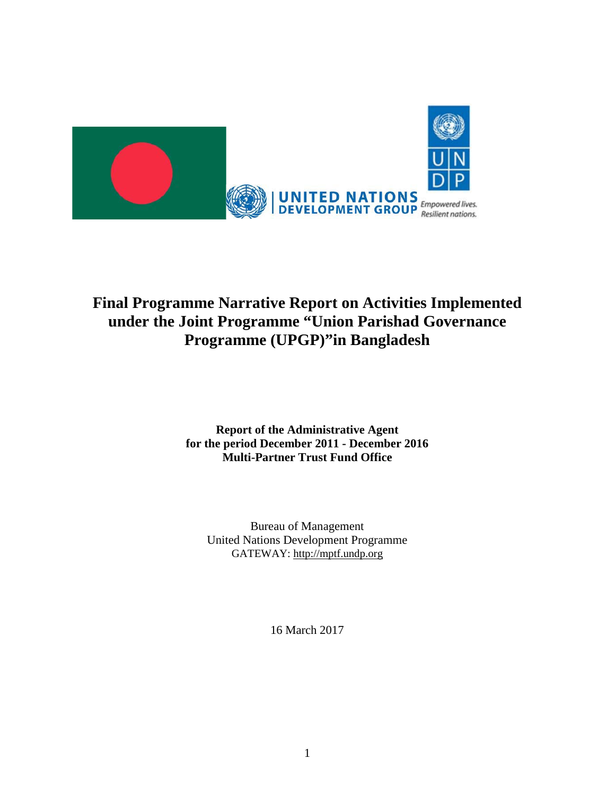

# **Final Programme Narrative Report on Activities Implemented under the Joint Programme "Union Parishad Governance Programme (UPGP)"in Bangladesh**

### **Report of the Administrative Agent for the period December 2011 - December 2016 Multi-Partner Trust Fund Office**

Bureau of Management United Nations Development Programme GATEWAY: [http://mptf.undp.org](http://mptf.undp.org/)

16 March 2017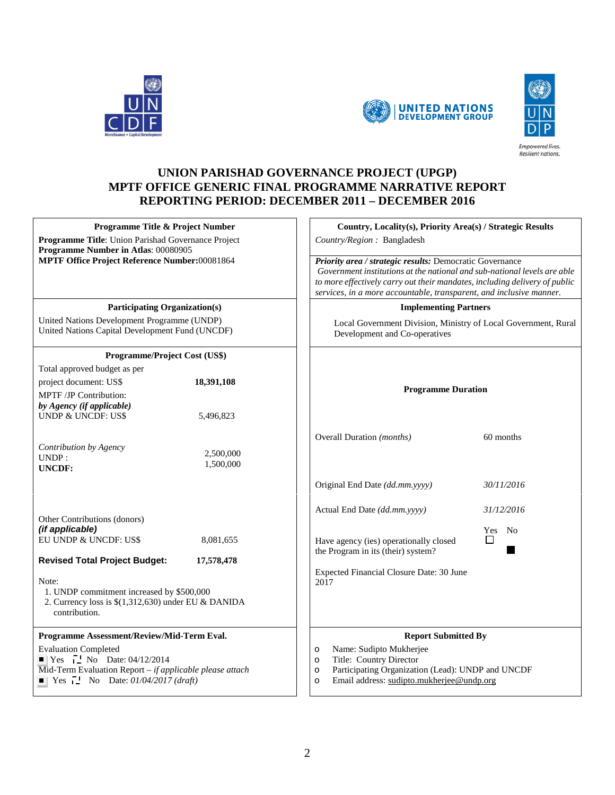





### **UNION PARISHAD GOVERNANCE PROJECT (UPGP) MPTF OFFICE GENERIC FINAL PROGRAMME NARRATIVE REPORT REPORTING PERIOD: DECEMBER 2011 – DECEMBER 2016**

| Programme Title & Project Number<br>Programme Title: Union Parishad Governance Project<br>Programme Number in Atlas: 00080905 |                        | Country/Region: Bangladesh                                                   | Country, Locality(s), Priority Area(s) / Strategic Results                                                                                                                                                                                                                                |  |  |
|-------------------------------------------------------------------------------------------------------------------------------|------------------------|------------------------------------------------------------------------------|-------------------------------------------------------------------------------------------------------------------------------------------------------------------------------------------------------------------------------------------------------------------------------------------|--|--|
| MPTF Office Project Reference Number:00081864                                                                                 |                        |                                                                              | Priority area / strategic results: Democratic Governance<br>Government institutions at the national and sub-national levels are able<br>to more effectively carry out their mandates, including delivery of public<br>services, in a more accountable, transparent, and inclusive manner. |  |  |
| <b>Participating Organization(s)</b>                                                                                          |                        |                                                                              | <b>Implementing Partners</b>                                                                                                                                                                                                                                                              |  |  |
| United Nations Development Programme (UNDP)<br>United Nations Capital Development Fund (UNCDF)                                |                        | Development and Co-operatives                                                | Local Government Division, Ministry of Local Government, Rural                                                                                                                                                                                                                            |  |  |
| Programme/Project Cost (US\$)                                                                                                 |                        |                                                                              |                                                                                                                                                                                                                                                                                           |  |  |
| Total approved budget as per                                                                                                  |                        |                                                                              |                                                                                                                                                                                                                                                                                           |  |  |
| project document: US\$                                                                                                        | 18,391,108             |                                                                              |                                                                                                                                                                                                                                                                                           |  |  |
| MPTF /JP Contribution:<br>by Agency (if applicable)<br><b>UNDP &amp; UNCDF: US\$</b>                                          | 5,496,823              | <b>Programme Duration</b>                                                    |                                                                                                                                                                                                                                                                                           |  |  |
|                                                                                                                               |                        | Overall Duration (months)                                                    | 60 months                                                                                                                                                                                                                                                                                 |  |  |
| Contribution by Agency<br>UNDP:<br><b>UNCDF:</b>                                                                              | 2,500,000<br>1,500,000 |                                                                              |                                                                                                                                                                                                                                                                                           |  |  |
|                                                                                                                               |                        | Original End Date (dd.mm.yyyy)                                               | 30/11/2016                                                                                                                                                                                                                                                                                |  |  |
| Other Contributions (donors)<br>(if applicable)                                                                               |                        | Actual End Date (dd.mm.yyyy)                                                 | 31/12/2016<br>Yes No                                                                                                                                                                                                                                                                      |  |  |
| EU UNDP & UNCDF: US\$                                                                                                         | 8,081,655              | Have agency (ies) operationally closed<br>the Program in its (their) system? | $\Box$                                                                                                                                                                                                                                                                                    |  |  |
| <b>Revised Total Project Budget:</b>                                                                                          | 17,578,478             |                                                                              |                                                                                                                                                                                                                                                                                           |  |  |
| Note:<br>1. UNDP commitment increased by \$500,000<br>2. Currency loss is $$(1,312,630)$ under EU & DANIDA<br>contribution.   |                        | Expected Financial Closure Date: 30 June<br>2017                             |                                                                                                                                                                                                                                                                                           |  |  |
| Programme Assessment/Review/Mid-Term Eval.                                                                                    |                        |                                                                              | <b>Report Submitted By</b>                                                                                                                                                                                                                                                                |  |  |
| <b>Evaluation Completed</b>                                                                                                   |                        | Name: Sudipto Mukherjee<br>$\circ$                                           |                                                                                                                                                                                                                                                                                           |  |  |
| $\blacksquare$ Yes $\blacksquare$ No Date: 04/12/2014                                                                         |                        | Title: Country Director<br>$\circ$                                           |                                                                                                                                                                                                                                                                                           |  |  |
| Mid-Term Evaluation Report $-$ if applicable please attach<br>$\blacksquare$ Yes $\blacksquare$ No Date: 01/04/2017 (draft)   |                        | $\circ$<br>$\circ$                                                           | Participating Organization (Lead): UNDP and UNCDF<br>Email address: sudipto.mukherjee@undp.org                                                                                                                                                                                            |  |  |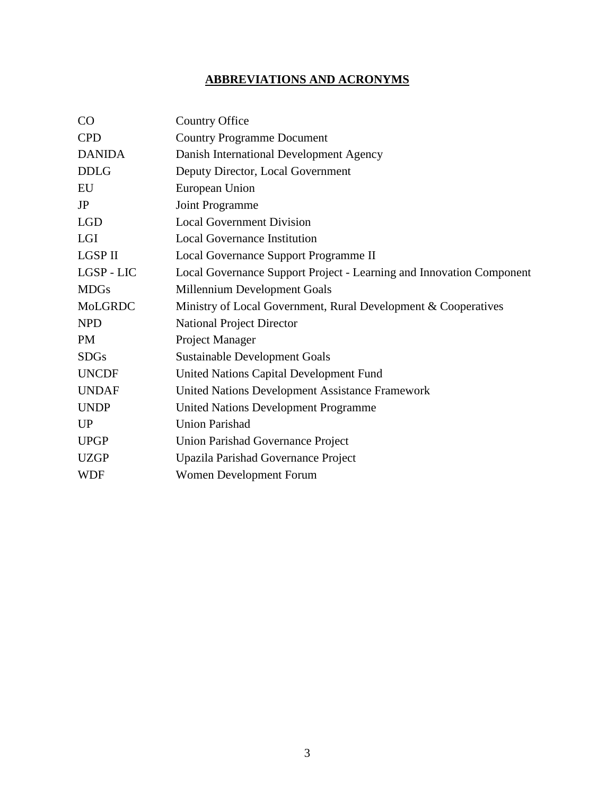## **ABBREVIATIONS AND ACRONYMS**

| CO             | <b>Country Office</b>                                                |
|----------------|----------------------------------------------------------------------|
| <b>CPD</b>     | <b>Country Programme Document</b>                                    |
| <b>DANIDA</b>  | Danish International Development Agency                              |
| <b>DDLG</b>    | Deputy Director, Local Government                                    |
| EU             | European Union                                                       |
| JP             | Joint Programme                                                      |
| <b>LGD</b>     | <b>Local Government Division</b>                                     |
| <b>LGI</b>     | <b>Local Governance Institution</b>                                  |
| <b>LGSP II</b> | Local Governance Support Programme II                                |
| LGSP - LIC     | Local Governance Support Project - Learning and Innovation Component |
| <b>MDGs</b>    | Millennium Development Goals                                         |
| MoLGRDC        | Ministry of Local Government, Rural Development & Cooperatives       |
| <b>NPD</b>     | <b>National Project Director</b>                                     |
| <b>PM</b>      | Project Manager                                                      |
| <b>SDGs</b>    | Sustainable Development Goals                                        |
| <b>UNCDF</b>   | United Nations Capital Development Fund                              |
| <b>UNDAF</b>   | United Nations Development Assistance Framework                      |
| <b>UNDP</b>    | <b>United Nations Development Programme</b>                          |
| <b>UP</b>      | <b>Union Parishad</b>                                                |
| <b>UPGP</b>    | Union Parishad Governance Project                                    |
| <b>UZGP</b>    | Upazila Parishad Governance Project                                  |
| <b>WDF</b>     | Women Development Forum                                              |
|                |                                                                      |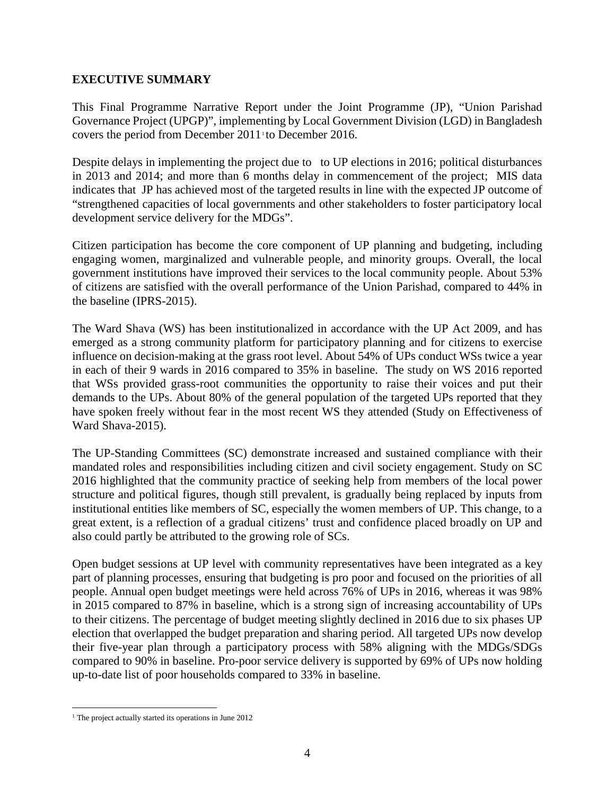#### **EXECUTIVE SUMMARY**

This Final Programme Narrative Report under the Joint Programme (JP), "Union Parishad Governance Project (UPGP)", implementing by Local Government Division (LGD) in Bangladesh covers the period from December 20[1](#page-3-0)1<sup>t</sup> to December 2016.

Despite delays in implementing the project due to to UP elections in 2016; political disturbances in 2013 and 2014; and more than 6 months delay in commencement of the project; MIS data indicates that JP has achieved most of the targeted results in line with the expected JP outcome of "strengthened capacities of local governments and other stakeholders to foster participatory local development service delivery for the MDGs".

Citizen participation has become the core component of UP planning and budgeting, including engaging women, marginalized and vulnerable people, and minority groups. Overall, the local government institutions have improved their services to the local community people. About 53% of citizens are satisfied with the overall performance of the Union Parishad, compared to 44% in the baseline (IPRS-2015).

The Ward Shava (WS) has been institutionalized in accordance with the UP Act 2009, and has emerged as a strong community platform for participatory planning and for citizens to exercise influence on decision-making at the grass root level. About 54% of UPs conduct WSs twice a year in each of their 9 wards in 2016 compared to 35% in baseline. The study on WS 2016 reported that WSs provided grass-root communities the opportunity to raise their voices and put their demands to the UPs. About 80% of the general population of the targeted UPs reported that they have spoken freely without fear in the most recent WS they attended (Study on Effectiveness of Ward Shava-2015).

The UP-Standing Committees (SC) demonstrate increased and sustained compliance with their mandated roles and responsibilities including citizen and civil society engagement. Study on SC 2016 highlighted that the community practice of seeking help from members of the local power structure and political figures, though still prevalent, is gradually being replaced by inputs from institutional entities like members of SC, especially the women members of UP. This change, to a great extent, is a reflection of a gradual citizens' trust and confidence placed broadly on UP and also could partly be attributed to the growing role of SCs.

Open budget sessions at UP level with community representatives have been integrated as a key part of planning processes, ensuring that budgeting is pro poor and focused on the priorities of all people. Annual open budget meetings were held across 76% of UPs in 2016, whereas it was 98% in 2015 compared to 87% in baseline, which is a strong sign of increasing accountability of UPs to their citizens. The percentage of budget meeting slightly declined in 2016 due to six phases UP election that overlapped the budget preparation and sharing period. All targeted UPs now develop their five-year plan through a participatory process with 58% aligning with the MDGs/SDGs compared to 90% in baseline. Pro-poor service delivery is supported by 69% of UPs now holding up-to-date list of poor households compared to 33% in baseline.

<span id="page-3-0"></span><sup>&</sup>lt;sup>1</sup> The project actually started its operations in June 2012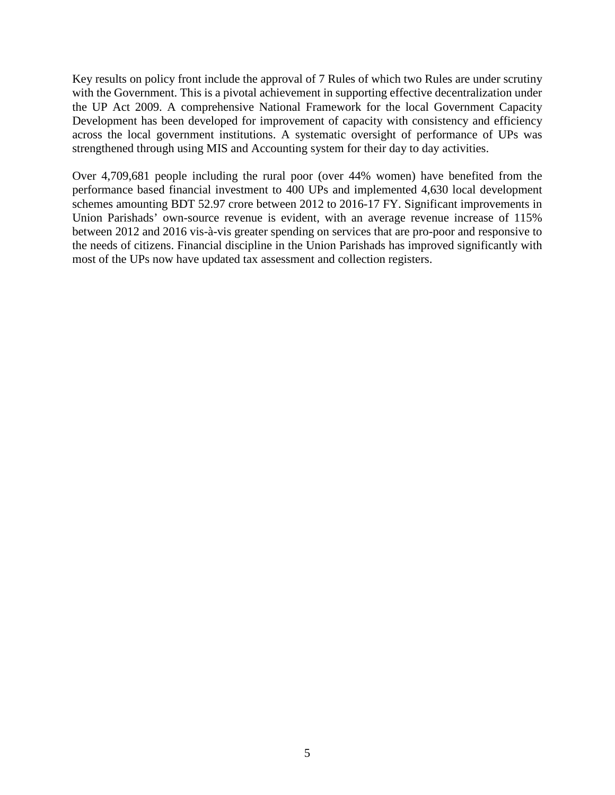Key results on policy front include the approval of 7 Rules of which two Rules are under scrutiny with the Government. This is a pivotal achievement in supporting effective decentralization under the UP Act 2009. A comprehensive National Framework for the local Government Capacity Development has been developed for improvement of capacity with consistency and efficiency across the local government institutions. A systematic oversight of performance of UPs was strengthened through using MIS and Accounting system for their day to day activities.

Over 4,709,681 people including the rural poor (over 44% women) have benefited from the performance based financial investment to 400 UPs and implemented 4,630 local development schemes amounting BDT 52.97 crore between 2012 to 2016-17 FY. Significant improvements in Union Parishads' own-source revenue is evident, with an average revenue increase of 115% between 2012 and 2016 vis-à-vis greater spending on services that are pro-poor and responsive to the needs of citizens. Financial discipline in the Union Parishads has improved significantly with most of the UPs now have updated tax assessment and collection registers.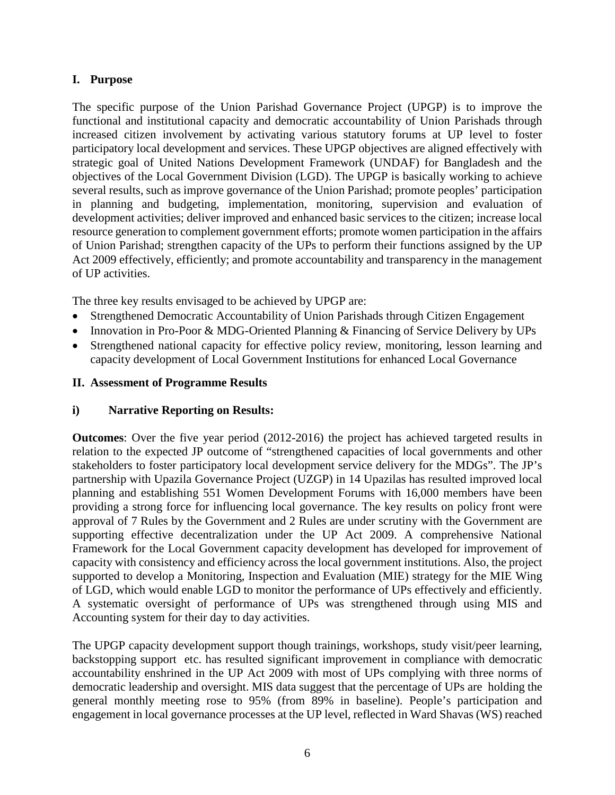### **I. Purpose**

The specific purpose of the Union Parishad Governance Project (UPGP) is to improve the functional and institutional capacity and democratic accountability of Union Parishads through increased citizen involvement by activating various statutory forums at UP level to foster participatory local development and services. These UPGP objectives are aligned effectively with strategic goal of United Nations Development Framework (UNDAF) for Bangladesh and the objectives of the Local Government Division (LGD). The UPGP is basically working to achieve several results, such as improve governance of the Union Parishad; promote peoples' participation in planning and budgeting, implementation, monitoring, supervision and evaluation of development activities; deliver improved and enhanced basic services to the citizen; increase local resource generation to complement government efforts; promote women participation in the affairs of Union Parishad; strengthen capacity of the UPs to perform their functions assigned by the UP Act 2009 effectively, efficiently; and promote accountability and transparency in the management of UP activities.

The three key results envisaged to be achieved by UPGP are:

- Strengthened Democratic Accountability of Union Parishads through Citizen Engagement
- Innovation in Pro-Poor & MDG-Oriented Planning & Financing of Service Delivery by UPs
- Strengthened national capacity for effective policy review, monitoring, lesson learning and capacity development of Local Government Institutions for enhanced Local Governance

#### **II. Assessment of Programme Results**

### **i) Narrative Reporting on Results:**

**Outcomes**: Over the five year period (2012-2016) the project has achieved targeted results in relation to the expected JP outcome of "strengthened capacities of local governments and other stakeholders to foster participatory local development service delivery for the MDGs". The JP's partnership with Upazila Governance Project (UZGP) in 14 Upazilas has resulted improved local planning and establishing 551 Women Development Forums with 16,000 members have been providing a strong force for influencing local governance. The key results on policy front were approval of 7 Rules by the Government and 2 Rules are under scrutiny with the Government are supporting effective decentralization under the UP Act 2009. A comprehensive National Framework for the Local Government capacity development has developed for improvement of capacity with consistency and efficiency across the local government institutions. Also, the project supported to develop a Monitoring, Inspection and Evaluation (MIE) strategy for the MIE Wing of LGD, which would enable LGD to monitor the performance of UPs effectively and efficiently. A systematic oversight of performance of UPs was strengthened through using MIS and Accounting system for their day to day activities.

The UPGP capacity development support though trainings, workshops, study visit/peer learning, backstopping support etc. has resulted significant improvement in compliance with democratic accountability enshrined in the UP Act 2009 with most of UPs complying with three norms of democratic leadership and oversight. MIS data suggest that the percentage of UPs are holding the general monthly meeting rose to 95% (from 89% in baseline). People's participation and engagement in local governance processes at the UP level, reflected in Ward Shavas (WS) reached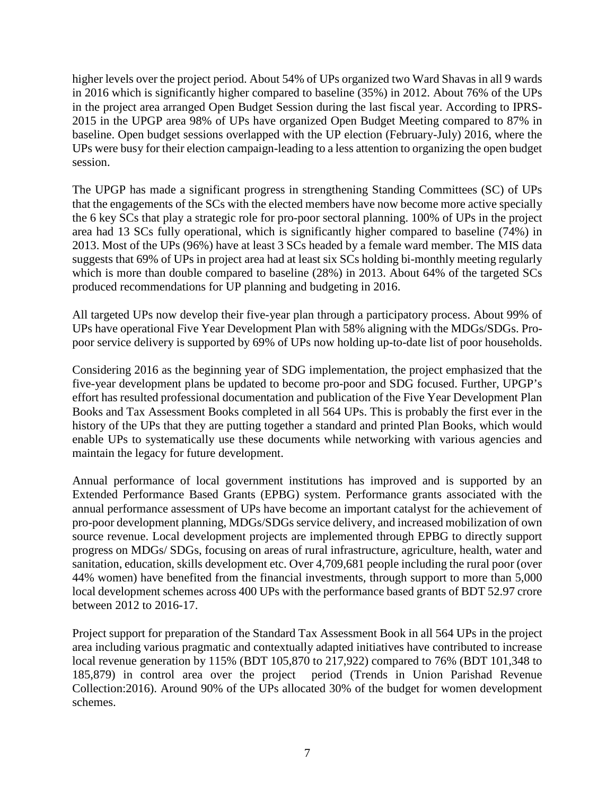higher levels over the project period. About 54% of UPs organized two Ward Shavas in all 9 wards in 2016 which is significantly higher compared to baseline (35%) in 2012. About 76% of the UPs in the project area arranged Open Budget Session during the last fiscal year. According to IPRS-2015 in the UPGP area 98% of UPs have organized Open Budget Meeting compared to 87% in baseline. Open budget sessions overlapped with the UP election (February-July) 2016, where the UPs were busy for their election campaign-leading to a less attention to organizing the open budget session.

The UPGP has made a significant progress in strengthening Standing Committees (SC) of UPs that the engagements of the SCs with the elected members have now become more active specially the 6 key SCs that play a strategic role for pro-poor sectoral planning. 100% of UPs in the project area had 13 SCs fully operational, which is significantly higher compared to baseline (74%) in 2013. Most of the UPs (96%) have at least 3 SCs headed by a female ward member. The MIS data suggests that 69% of UPs in project area had at least six SCs holding bi-monthly meeting regularly which is more than double compared to baseline (28%) in 2013. About 64% of the targeted SCs produced recommendations for UP planning and budgeting in 2016.

All targeted UPs now develop their five-year plan through a participatory process. About 99% of UPs have operational Five Year Development Plan with 58% aligning with the MDGs/SDGs. Propoor service delivery is supported by 69% of UPs now holding up-to-date list of poor households.

Considering 2016 as the beginning year of SDG implementation, the project emphasized that the five-year development plans be updated to become pro-poor and SDG focused. Further, UPGP's effort has resulted professional documentation and publication of the Five Year Development Plan Books and Tax Assessment Books completed in all 564 UPs. This is probably the first ever in the history of the UPs that they are putting together a standard and printed Plan Books, which would enable UPs to systematically use these documents while networking with various agencies and maintain the legacy for future development.

Annual performance of local government institutions has improved and is supported by an Extended Performance Based Grants (EPBG) system. Performance grants associated with the annual performance assessment of UPs have become an important catalyst for the achievement of pro-poor development planning, MDGs/SDGs service delivery, and increased mobilization of own source revenue. Local development projects are implemented through EPBG to directly support progress on MDGs/ SDGs, focusing on areas of rural infrastructure, agriculture, health, water and sanitation, education, skills development etc. Over 4,709,681 people including the rural poor (over 44% women) have benefited from the financial investments, through support to more than 5,000 local development schemes across 400 UPs with the performance based grants of BDT 52.97 crore between 2012 to 2016-17.

Project support for preparation of the Standard Tax Assessment Book in all 564 UPs in the project area including various pragmatic and contextually adapted initiatives have contributed to increase local revenue generation by 115% (BDT 105,870 to 217,922) compared to 76% (BDT 101,348 to 185,879) in control area over the project period (Trends in Union Parishad Revenue Collection:2016). Around 90% of the UPs allocated 30% of the budget for women development schemes.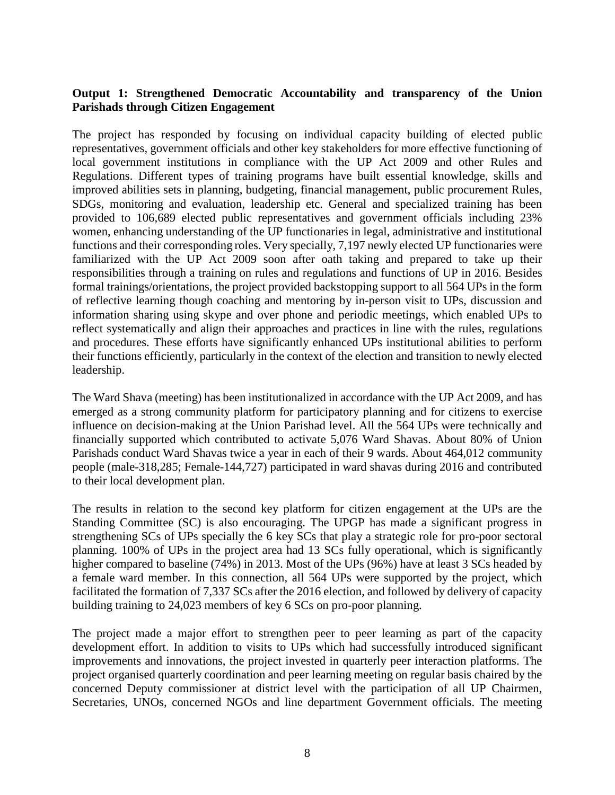#### **Output 1: Strengthened Democratic Accountability and transparency of the Union Parishads through Citizen Engagement**

The project has responded by focusing on individual capacity building of elected public representatives, government officials and other key stakeholders for more effective functioning of local government institutions in compliance with the UP Act 2009 and other Rules and Regulations. Different types of training programs have built essential knowledge, skills and improved abilities sets in planning, budgeting, financial management, public procurement Rules, SDGs, monitoring and evaluation, leadership etc. General and specialized training has been provided to 106,689 elected public representatives and government officials including 23% women, enhancing understanding of the UP functionaries in legal, administrative and institutional functions and their corresponding roles. Very specially, 7,197 newly elected UP functionaries were familiarized with the UP Act 2009 soon after oath taking and prepared to take up their responsibilities through a training on rules and regulations and functions of UP in 2016. Besides formal trainings/orientations, the project provided backstopping support to all 564 UPs in the form of reflective learning though coaching and mentoring by in-person visit to UPs, discussion and information sharing using skype and over phone and periodic meetings, which enabled UPs to reflect systematically and align their approaches and practices in line with the rules, regulations and procedures. These efforts have significantly enhanced UPs institutional abilities to perform their functions efficiently, particularly in the context of the election and transition to newly elected leadership.

The Ward Shava (meeting) has been institutionalized in accordance with the UP Act 2009, and has emerged as a strong community platform for participatory planning and for citizens to exercise influence on decision-making at the Union Parishad level. All the 564 UPs were technically and financially supported which contributed to activate 5,076 Ward Shavas. About 80% of Union Parishads conduct Ward Shavas twice a year in each of their 9 wards. About 464,012 community people (male-318,285; Female-144,727) participated in ward shavas during 2016 and contributed to their local development plan.

The results in relation to the second key platform for citizen engagement at the UPs are the Standing Committee (SC) is also encouraging. The UPGP has made a significant progress in strengthening SCs of UPs specially the 6 key SCs that play a strategic role for pro-poor sectoral planning. 100% of UPs in the project area had 13 SCs fully operational, which is significantly higher compared to baseline (74%) in 2013. Most of the UPs (96%) have at least 3 SCs headed by a female ward member. In this connection, all 564 UPs were supported by the project, which facilitated the formation of 7,337 SCs after the 2016 election, and followed by delivery of capacity building training to 24,023 members of key 6 SCs on pro-poor planning.

The project made a major effort to strengthen peer to peer learning as part of the capacity development effort. In addition to visits to UPs which had successfully introduced significant improvements and innovations, the project invested in quarterly peer interaction platforms. The project organised quarterly coordination and peer learning meeting on regular basis chaired by the concerned Deputy commissioner at district level with the participation of all UP Chairmen, Secretaries, UNOs, concerned NGOs and line department Government officials. The meeting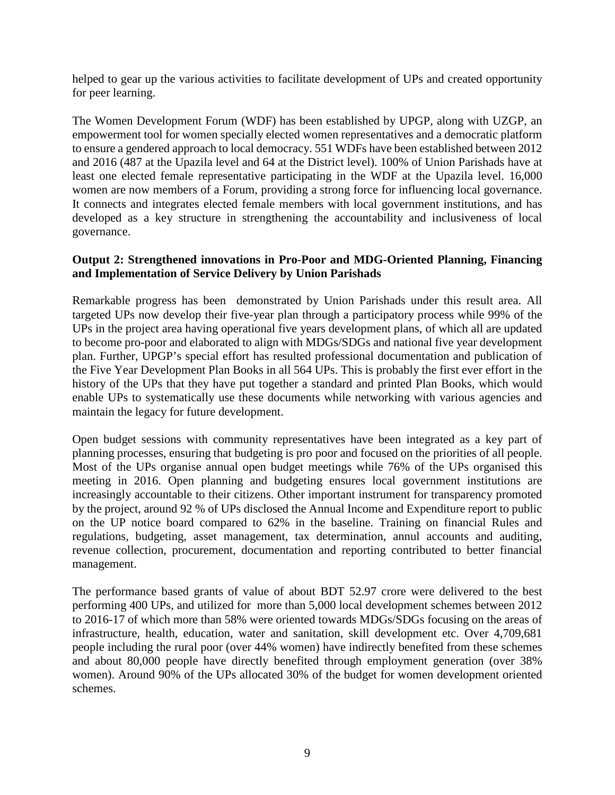helped to gear up the various activities to facilitate development of UPs and created opportunity for peer learning.

The Women Development Forum (WDF) has been established by UPGP, along with UZGP, an empowerment tool for women specially elected women representatives and a democratic platform to ensure a gendered approach to local democracy. 551 WDFs have been established between 2012 and 2016 (487 at the Upazila level and 64 at the District level). 100% of Union Parishads have at least one elected female representative participating in the WDF at the Upazila level. 16,000 women are now members of a Forum, providing a strong force for influencing local governance. It connects and integrates elected female members with local government institutions, and has developed as a key structure in strengthening the accountability and inclusiveness of local governance.

#### **Output 2: Strengthened innovations in Pro-Poor and MDG-Oriented Planning, Financing and Implementation of Service Delivery by Union Parishads**

Remarkable progress has been demonstrated by Union Parishads under this result area. All targeted UPs now develop their five-year plan through a participatory process while 99% of the UPs in the project area having operational five years development plans, of which all are updated to become pro-poor and elaborated to align with MDGs/SDGs and national five year development plan. Further, UPGP's special effort has resulted professional documentation and publication of the Five Year Development Plan Books in all 564 UPs. This is probably the first ever effort in the history of the UPs that they have put together a standard and printed Plan Books, which would enable UPs to systematically use these documents while networking with various agencies and maintain the legacy for future development.

Open budget sessions with community representatives have been integrated as a key part of planning processes, ensuring that budgeting is pro poor and focused on the priorities of all people. Most of the UPs organise annual open budget meetings while 76% of the UPs organised this meeting in 2016. Open planning and budgeting ensures local government institutions are increasingly accountable to their citizens. Other important instrument for transparency promoted by the project, around 92 % of UPs disclosed the Annual Income and Expenditure report to public on the UP notice board compared to 62% in the baseline. Training on financial Rules and regulations, budgeting, asset management, tax determination, annul accounts and auditing, revenue collection, procurement, documentation and reporting contributed to better financial management.

The performance based grants of value of about BDT 52.97 crore were delivered to the best performing 400 UPs, and utilized for more than 5,000 local development schemes between 2012 to 2016-17 of which more than 58% were oriented towards MDGs/SDGs focusing on the areas of infrastructure, health, education, water and sanitation, skill development etc. Over 4,709,681 people including the rural poor (over 44% women) have indirectly benefited from these schemes and about 80,000 people have directly benefited through employment generation (over 38% women). Around 90% of the UPs allocated 30% of the budget for women development oriented schemes.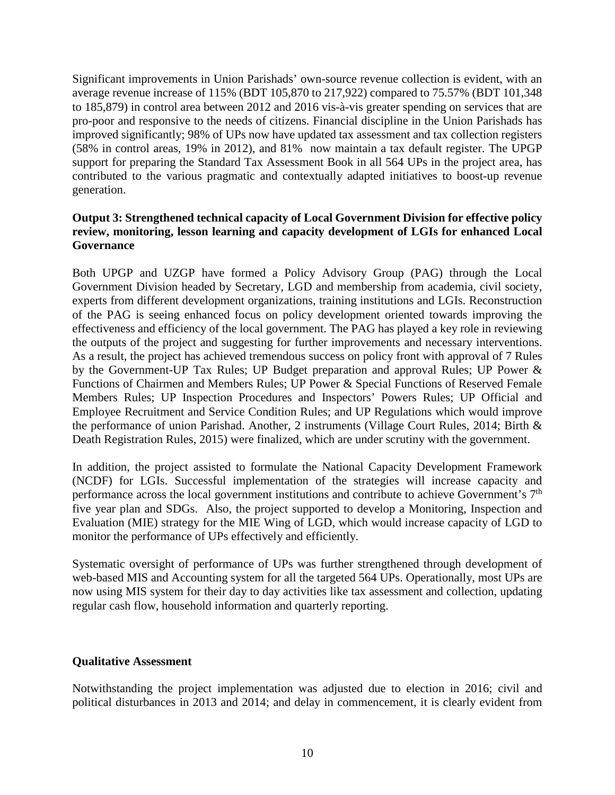Significant improvements in Union Parishads' own-source revenue collection is evident, with an average revenue increase of 115% (BDT 105,870 to 217,922) compared to 75.57% (BDT 101,348 to 185,879) in control area between 2012 and 2016 vis-à-vis greater spending on services that are pro-poor and responsive to the needs of citizens. Financial discipline in the Union Parishads has improved significantly; 98% of UPs now have updated tax assessment and tax collection registers (58% in control areas, 19% in 2012), and 81% now maintain a tax default register. The UPGP support for preparing the Standard Tax Assessment Book in all 564 UPs in the project area, has contributed to the various pragmatic and contextually adapted initiatives to boost-up revenue generation.

#### **Output 3: Strengthened technical capacity of Local Government Division for effective policy review, monitoring, lesson learning and capacity development of LGIs for enhanced Local Governance**

Both UPGP and UZGP have formed a Policy Advisory Group (PAG) through the Local Government Division headed by Secretary, LGD and membership from academia, civil society, experts from different development organizations, training institutions and LGIs. Reconstruction of the PAG is seeing enhanced focus on policy development oriented towards improving the effectiveness and efficiency of the local government. The PAG has played a key role in reviewing the outputs of the project and suggesting for further improvements and necessary interventions. As a result, the project has achieved tremendous success on policy front with approval of 7 Rules by the Government-UP Tax Rules; UP Budget preparation and approval Rules; UP Power & Functions of Chairmen and Members Rules; UP Power & Special Functions of Reserved Female Members Rules; UP Inspection Procedures and Inspectors' Powers Rules; UP Official and Employee Recruitment and Service Condition Rules; and UP Regulations which would improve the performance of union Parishad. Another, 2 instruments (Village Court Rules, 2014; Birth & Death Registration Rules, 2015) were finalized, which are under scrutiny with the government.

In addition, the project assisted to formulate the National Capacity Development Framework (NCDF) for LGIs. Successful implementation of the strategies will increase capacity and performance across the local government institutions and contribute to achieve Government's 7th five year plan and SDGs. Also, the project supported to develop a Monitoring, Inspection and Evaluation (MIE) strategy for the MIE Wing of LGD, which would increase capacity of LGD to monitor the performance of UPs effectively and efficiently.

Systematic oversight of performance of UPs was further strengthened through development of web-based MIS and Accounting system for all the targeted 564 UPs. Operationally, most UPs are now using MIS system for their day to day activities like tax assessment and collection, updating regular cash flow, household information and quarterly reporting.

#### **Qualitative Assessment**

Notwithstanding the project implementation was adjusted due to election in 2016; civil and political disturbances in 2013 and 2014; and delay in commencement, it is clearly evident from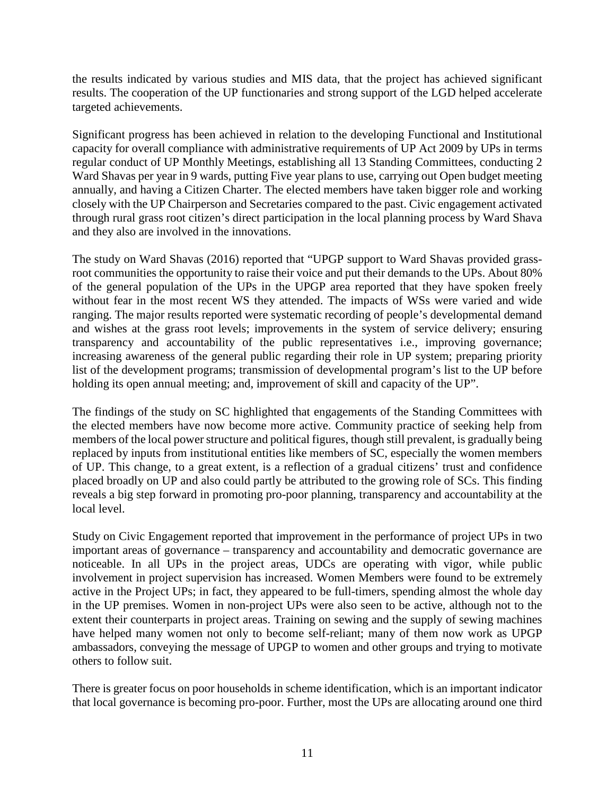the results indicated by various studies and MIS data, that the project has achieved significant results. The cooperation of the UP functionaries and strong support of the LGD helped accelerate targeted achievements.

Significant progress has been achieved in relation to the developing Functional and Institutional capacity for overall compliance with administrative requirements of UP Act 2009 by UPs in terms regular conduct of UP Monthly Meetings, establishing all 13 Standing Committees, conducting 2 Ward Shavas per year in 9 wards, putting Five year plans to use, carrying out Open budget meeting annually, and having a Citizen Charter. The elected members have taken bigger role and working closely with the UP Chairperson and Secretaries compared to the past. Civic engagement activated through rural grass root citizen's direct participation in the local planning process by Ward Shava and they also are involved in the innovations.

The study on Ward Shavas (2016) reported that "UPGP support to Ward Shavas provided grassroot communities the opportunity to raise their voice and put their demands to the UPs. About 80% of the general population of the UPs in the UPGP area reported that they have spoken freely without fear in the most recent WS they attended. The impacts of WSs were varied and wide ranging. The major results reported were systematic recording of people's developmental demand and wishes at the grass root levels; improvements in the system of service delivery; ensuring transparency and accountability of the public representatives i.e., improving governance; increasing awareness of the general public regarding their role in UP system; preparing priority list of the development programs; transmission of developmental program's list to the UP before holding its open annual meeting; and, improvement of skill and capacity of the UP".

The findings of the study on SC highlighted that engagements of the Standing Committees with the elected members have now become more active. Community practice of seeking help from members of the local power structure and political figures, though still prevalent, is gradually being replaced by inputs from institutional entities like members of SC, especially the women members of UP. This change, to a great extent, is a reflection of a gradual citizens' trust and confidence placed broadly on UP and also could partly be attributed to the growing role of SCs. This finding reveals a big step forward in promoting pro-poor planning, transparency and accountability at the local level.

Study on Civic Engagement reported that improvement in the performance of project UPs in two important areas of governance – transparency and accountability and democratic governance are noticeable. In all UPs in the project areas, UDCs are operating with vigor, while public involvement in project supervision has increased. Women Members were found to be extremely active in the Project UPs; in fact, they appeared to be full-timers, spending almost the whole day in the UP premises. Women in non-project UPs were also seen to be active, although not to the extent their counterparts in project areas. Training on sewing and the supply of sewing machines have helped many women not only to become self-reliant; many of them now work as UPGP ambassadors, conveying the message of UPGP to women and other groups and trying to motivate others to follow suit.

There is greater focus on poor households in scheme identification, which is an important indicator that local governance is becoming pro-poor. Further, most the UPs are allocating around one third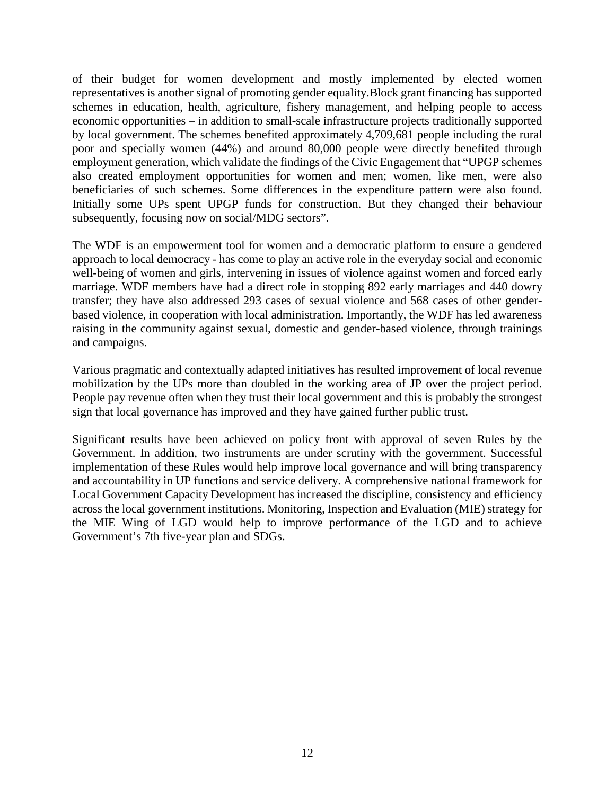of their budget for women development and mostly implemented by elected women representatives is another signal of promoting gender equality.Block grant financing has supported schemes in education, health, agriculture, fishery management, and helping people to access economic opportunities – in addition to small-scale infrastructure projects traditionally supported by local government. The schemes benefited approximately 4,709,681 people including the rural poor and specially women (44%) and around 80,000 people were directly benefited through employment generation, which validate the findings of the Civic Engagement that "UPGP schemes also created employment opportunities for women and men; women, like men, were also beneficiaries of such schemes. Some differences in the expenditure pattern were also found. Initially some UPs spent UPGP funds for construction. But they changed their behaviour subsequently, focusing now on social/MDG sectors".

The WDF is an empowerment tool for women and a democratic platform to ensure a gendered approach to local democracy - has come to play an active role in the everyday social and economic well-being of women and girls, intervening in issues of violence against women and forced early marriage. WDF members have had a direct role in stopping 892 early marriages and 440 dowry transfer; they have also addressed 293 cases of sexual violence and 568 cases of other genderbased violence, in cooperation with local administration. Importantly, the WDF has led awareness raising in the community against sexual, domestic and gender-based violence, through trainings and campaigns.

Various pragmatic and contextually adapted initiatives has resulted improvement of local revenue mobilization by the UPs more than doubled in the working area of JP over the project period. People pay revenue often when they trust their local government and this is probably the strongest sign that local governance has improved and they have gained further public trust.

Significant results have been achieved on policy front with approval of seven Rules by the Government. In addition, two instruments are under scrutiny with the government. Successful implementation of these Rules would help improve local governance and will bring transparency and accountability in UP functions and service delivery. A comprehensive national framework for Local Government Capacity Development has increased the discipline, consistency and efficiency across the local government institutions. Monitoring, Inspection and Evaluation (MIE) strategy for the MIE Wing of LGD would help to improve performance of the LGD and to achieve Government's 7th five-year plan and SDGs.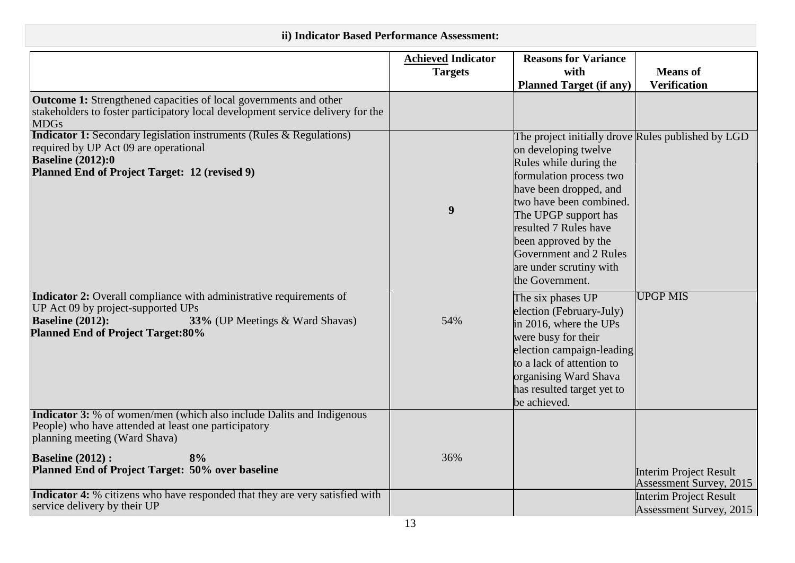# **ii) Indicator Based Performance Assessment:**

|                                                                                                                                                                                                                     | <b>Achieved Indicator</b><br><b>Targets</b> | <b>Reasons for Variance</b><br>with                                                                                                                                                                                                                                                                                                   | <b>Means</b> of                                                 |
|---------------------------------------------------------------------------------------------------------------------------------------------------------------------------------------------------------------------|---------------------------------------------|---------------------------------------------------------------------------------------------------------------------------------------------------------------------------------------------------------------------------------------------------------------------------------------------------------------------------------------|-----------------------------------------------------------------|
|                                                                                                                                                                                                                     |                                             | <b>Planned Target (if any)</b>                                                                                                                                                                                                                                                                                                        | <b>Verification</b>                                             |
| <b>Outcome 1:</b> Strengthened capacities of local governments and other<br>stakeholders to foster participatory local development service delivery for the<br><b>MDGs</b>                                          |                                             |                                                                                                                                                                                                                                                                                                                                       |                                                                 |
| <b>Indicator 1:</b> Secondary legislation instruments (Rules & Regulations)<br>required by UP Act 09 are operational<br><b>Baseline (2012):0</b><br>Planned End of Project Target: 12 (revised 9)                   | $\boldsymbol{9}$                            | The project initially drove Rules published by LGD<br>on developing twelve<br>Rules while during the<br>formulation process two<br>have been dropped, and<br>two have been combined.<br>The UPGP support has<br>resulted 7 Rules have<br>been approved by the<br>Government and 2 Rules<br>are under scrutiny with<br>the Government. |                                                                 |
| Indicator 2: Overall compliance with administrative requirements of<br>UP Act 09 by project-supported UPs<br><b>Baseline (2012):</b><br>33% (UP Meetings & Ward Shavas)<br><b>Planned End of Project Target:80%</b> | 54%                                         | The six phases UP<br>election (February-July)<br>in 2016, where the UPs<br>were busy for their<br>election campaign-leading<br>to a lack of attention to<br>organising Ward Shava<br>has resulted target yet to<br>be achieved.                                                                                                       | <b>UPGP MIS</b>                                                 |
| <b>Indicator 3:</b> % of women/men (which also include Dalits and Indigenous<br>People) who have attended at least one participatory<br>planning meeting (Ward Shava)                                               |                                             |                                                                                                                                                                                                                                                                                                                                       |                                                                 |
| <b>Baseline (2012):</b><br>8%<br>Planned End of Project Target: 50% over baseline                                                                                                                                   | 36%                                         |                                                                                                                                                                                                                                                                                                                                       | <b>Interim Project Result</b><br><b>Assessment Survey, 2015</b> |
| Indicator 4: % citizens who have responded that they are very satisfied with<br>service delivery by their UP                                                                                                        |                                             |                                                                                                                                                                                                                                                                                                                                       | <b>Interim Project Result</b><br>Assessment Survey, 2015        |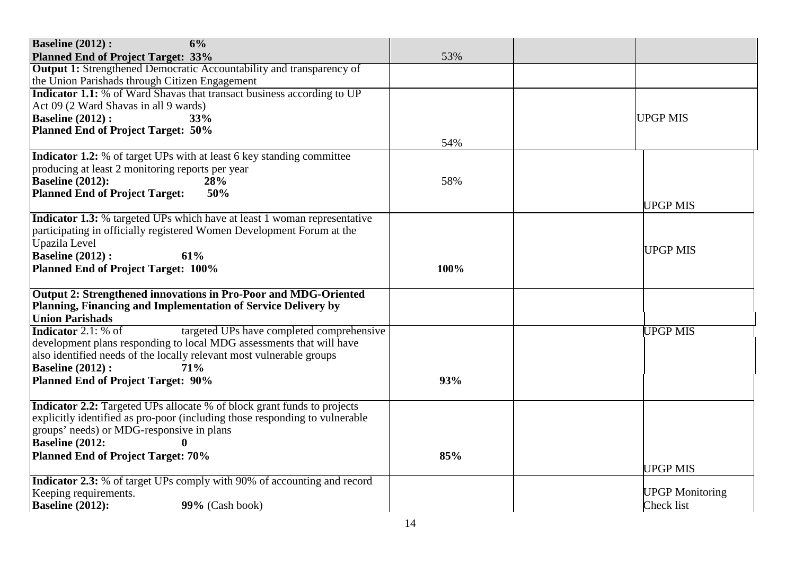| <b>Baseline (2012):</b><br>6%                                                   |      |                        |
|---------------------------------------------------------------------------------|------|------------------------|
| <b>Planned End of Project Target: 33%</b>                                       | 53%  |                        |
| <b>Output 1:</b> Strengthened Democratic Accountability and transparency of     |      |                        |
| the Union Parishads through Citizen Engagement                                  |      |                        |
| Indicator 1.1: % of Ward Shavas that transact business according to UP          |      |                        |
| Act 09 (2 Ward Shavas in all 9 wards)                                           |      |                        |
| <b>Baseline (2012):</b><br>33%                                                  |      | <b>UPGP MIS</b>        |
| <b>Planned End of Project Target: 50%</b>                                       |      |                        |
|                                                                                 | 54%  |                        |
| <b>Indicator 1.2:</b> % of target UPs with at least 6 key standing committee    |      |                        |
| producing at least 2 monitoring reports per year                                |      |                        |
| <b>Baseline (2012):</b><br>28%                                                  | 58%  |                        |
| <b>Planned End of Project Target:</b><br>50%                                    |      |                        |
|                                                                                 |      | <b>UPGP MIS</b>        |
| <b>Indicator 1.3:</b> % targeted UPs which have at least 1 woman representative |      |                        |
| participating in officially registered Women Development Forum at the           |      |                        |
| Upazila Level                                                                   |      |                        |
| <b>Baseline (2012):</b><br>61%                                                  |      | <b>UPGP MIS</b>        |
| <b>Planned End of Project Target: 100%</b>                                      | 100% |                        |
|                                                                                 |      |                        |
| Output 2: Strengthened innovations in Pro-Poor and MDG-Oriented                 |      |                        |
| Planning, Financing and Implementation of Service Delivery by                   |      |                        |
| <b>Union Parishads</b>                                                          |      |                        |
| <b>Indicator</b> 2.1: $%$ of<br>targeted UPs have completed comprehensive       |      | <b>UPGP MIS</b>        |
| development plans responding to local MDG assessments that will have            |      |                        |
| also identified needs of the locally relevant most vulnerable groups            |      |                        |
| <b>Baseline (2012):</b><br>71%                                                  |      |                        |
| <b>Planned End of Project Target: 90%</b>                                       | 93%  |                        |
|                                                                                 |      |                        |
| <b>Indicator 2.2:</b> Targeted UPs allocate % of block grant funds to projects  |      |                        |
| explicitly identified as pro-poor (including those responding to vulnerable     |      |                        |
| groups' needs) or MDG-responsive in plans                                       |      |                        |
| <b>Baseline (2012:</b><br>$\bf{0}$                                              |      |                        |
| <b>Planned End of Project Target: 70%</b>                                       | 85%  |                        |
|                                                                                 |      | <b>UPGP MIS</b>        |
| <b>Indicator 2.3:</b> % of target UPs comply with 90% of accounting and record  |      |                        |
| Keeping requirements.                                                           |      | <b>UPGP Monitoring</b> |
| <b>Baseline (2012):</b><br>99% (Cash book)                                      |      | Check list             |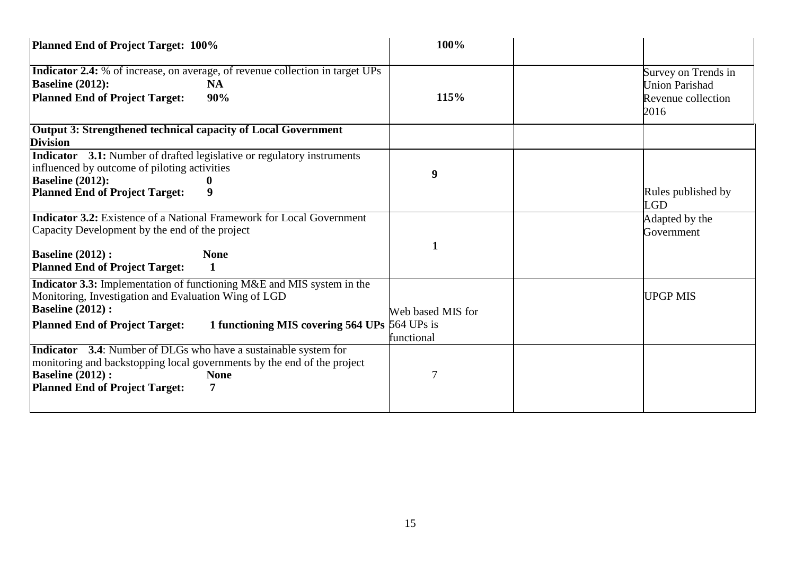| Planned End of Project Target: 100%                                                                                                                                                                                                                        | 100%                            |                                                                            |
|------------------------------------------------------------------------------------------------------------------------------------------------------------------------------------------------------------------------------------------------------------|---------------------------------|----------------------------------------------------------------------------|
| <b>Indicator 2.4:</b> % of increase, on average, of revenue collection in target UPs<br><b>Baseline (2012):</b><br><b>NA</b><br><b>Planned End of Project Target:</b><br>90%                                                                               | 115%                            | Survey on Trends in<br><b>Union Parishad</b><br>Revenue collection<br>2016 |
| Output 3: Strengthened technical capacity of Local Government<br><b>Division</b>                                                                                                                                                                           |                                 |                                                                            |
| <b>Indicator</b> 3.1: Number of drafted legislative or regulatory instruments<br>influenced by outcome of piloting activities<br><b>Baseline (2012):</b><br><b>Planned End of Project Target:</b><br>9                                                     | 9                               | Rules published by<br><b>LGD</b>                                           |
| <b>Indicator 3.2:</b> Existence of a National Framework for Local Government<br>Capacity Development by the end of the project<br><b>Baseline (2012):</b><br><b>None</b><br><b>Planned End of Project Target:</b><br>1                                     | 1                               | Adapted by the<br>Government                                               |
| <b>Indicator 3.3:</b> Implementation of functioning M&E and MIS system in the<br>Monitoring, Investigation and Evaluation Wing of LGD<br><b>Baseline (2012):</b><br>1 functioning MIS covering 564 UPs 564 UPs is<br><b>Planned End of Project Target:</b> | Web based MIS for<br>functional | <b>UPGP MIS</b>                                                            |
| <b>Indicator</b> 3.4: Number of DLGs who have a sustainable system for<br>monitoring and backstopping local governments by the end of the project<br><b>Baseline (2012):</b><br><b>None</b><br><b>Planned End of Project Target:</b><br>7                  | 7                               |                                                                            |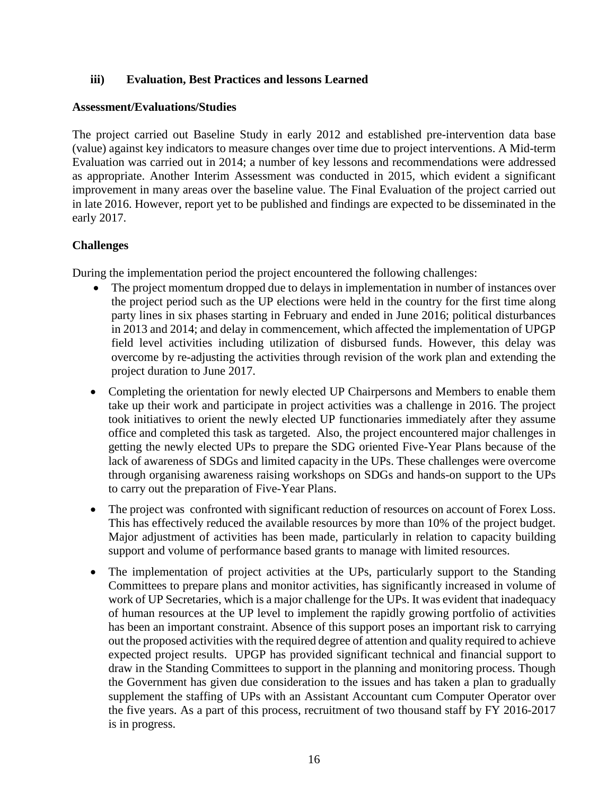#### **iii) Evaluation, Best Practices and lessons Learned**

#### **Assessment/Evaluations/Studies**

The project carried out Baseline Study in early 2012 and established pre-intervention data base (value) against key indicators to measure changes over time due to project interventions. A Mid-term Evaluation was carried out in 2014; a number of key lessons and recommendations were addressed as appropriate. Another Interim Assessment was conducted in 2015, which evident a significant improvement in many areas over the baseline value. The Final Evaluation of the project carried out in late 2016. However, report yet to be published and findings are expected to be disseminated in the early 2017.

#### **Challenges**

During the implementation period the project encountered the following challenges:

- The project momentum dropped due to delays in implementation in number of instances over the project period such as the UP elections were held in the country for the first time along party lines in six phases starting in February and ended in June 2016; political disturbances in 2013 and 2014; and delay in commencement, which affected the implementation of UPGP field level activities including utilization of disbursed funds. However, this delay was overcome by re-adjusting the activities through revision of the work plan and extending the project duration to June 2017.
- Completing the orientation for newly elected UP Chairpersons and Members to enable them take up their work and participate in project activities was a challenge in 2016. The project took initiatives to orient the newly elected UP functionaries immediately after they assume office and completed this task as targeted. Also, the project encountered major challenges in getting the newly elected UPs to prepare the SDG oriented Five-Year Plans because of the lack of awareness of SDGs and limited capacity in the UPs. These challenges were overcome through organising awareness raising workshops on SDGs and hands-on support to the UPs to carry out the preparation of Five-Year Plans.
- The project was confronted with significant reduction of resources on account of Forex Loss. This has effectively reduced the available resources by more than 10% of the project budget. Major adjustment of activities has been made, particularly in relation to capacity building support and volume of performance based grants to manage with limited resources.
- The implementation of project activities at the UPs, particularly support to the Standing Committees to prepare plans and monitor activities, has significantly increased in volume of work of UP Secretaries, which is a major challenge for the UPs. It was evident that inadequacy of human resources at the UP level to implement the rapidly growing portfolio of activities has been an important constraint. Absence of this support poses an important risk to carrying out the proposed activities with the required degree of attention and quality required to achieve expected project results. UPGP has provided significant technical and financial support to draw in the Standing Committees to support in the planning and monitoring process. Though the Government has given due consideration to the issues and has taken a plan to gradually supplement the staffing of UPs with an Assistant Accountant cum Computer Operator over the five years. As a part of this process, recruitment of two thousand staff by FY 2016-2017 is in progress.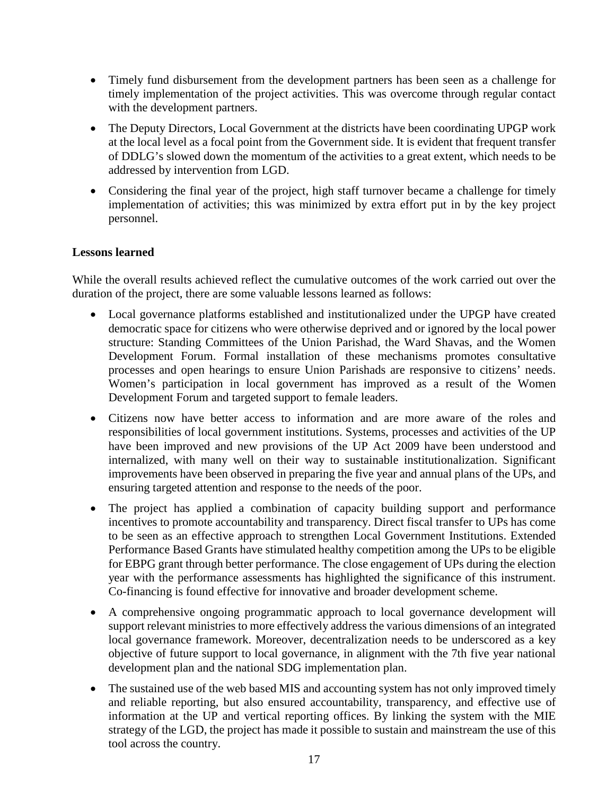- Timely fund disbursement from the development partners has been seen as a challenge for timely implementation of the project activities. This was overcome through regular contact with the development partners.
- The Deputy Directors, Local Government at the districts have been coordinating UPGP work at the local level as a focal point from the Government side. It is evident that frequent transfer of DDLG's slowed down the momentum of the activities to a great extent, which needs to be addressed by intervention from LGD.
- Considering the final year of the project, high staff turnover became a challenge for timely implementation of activities; this was minimized by extra effort put in by the key project personnel.

#### **Lessons learned**

While the overall results achieved reflect the cumulative outcomes of the work carried out over the duration of the project, there are some valuable lessons learned as follows:

- Local governance platforms established and institutionalized under the UPGP have created democratic space for citizens who were otherwise deprived and or ignored by the local power structure: Standing Committees of the Union Parishad, the Ward Shavas, and the Women Development Forum. Formal installation of these mechanisms promotes consultative processes and open hearings to ensure Union Parishads are responsive to citizens' needs. Women's participation in local government has improved as a result of the Women Development Forum and targeted support to female leaders.
- Citizens now have better access to information and are more aware of the roles and responsibilities of local government institutions. Systems, processes and activities of the UP have been improved and new provisions of the UP Act 2009 have been understood and internalized, with many well on their way to sustainable institutionalization. Significant improvements have been observed in preparing the five year and annual plans of the UPs, and ensuring targeted attention and response to the needs of the poor.
- The project has applied a combination of capacity building support and performance incentives to promote accountability and transparency. Direct fiscal transfer to UPs has come to be seen as an effective approach to strengthen Local Government Institutions. Extended Performance Based Grants have stimulated healthy competition among the UPs to be eligible for EBPG grant through better performance. The close engagement of UPs during the election year with the performance assessments has highlighted the significance of this instrument. Co-financing is found effective for innovative and broader development scheme.
- A comprehensive ongoing programmatic approach to local governance development will support relevant ministries to more effectively address the various dimensions of an integrated local governance framework. Moreover, decentralization needs to be underscored as a key objective of future support to local governance, in alignment with the 7th five year national development plan and the national SDG implementation plan.
- The sustained use of the web based MIS and accounting system has not only improved timely and reliable reporting, but also ensured accountability, transparency, and effective use of information at the UP and vertical reporting offices. By linking the system with the MIE strategy of the LGD, the project has made it possible to sustain and mainstream the use of this tool across the country.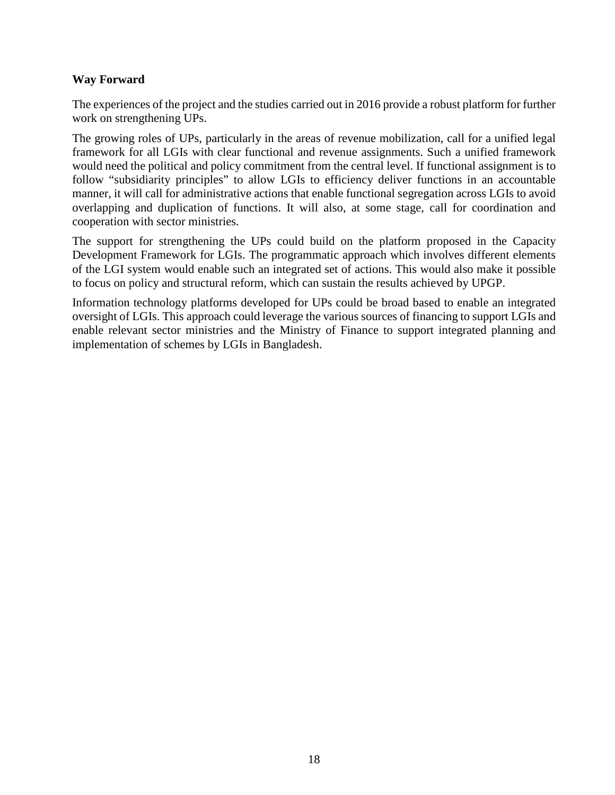#### **Way Forward**

The experiences of the project and the studies carried out in 2016 provide a robust platform for further work on strengthening UPs.

The growing roles of UPs, particularly in the areas of revenue mobilization, call for a unified legal framework for all LGIs with clear functional and revenue assignments. Such a unified framework would need the political and policy commitment from the central level. If functional assignment is to follow "subsidiarity principles" to allow LGIs to efficiency deliver functions in an accountable manner, it will call for administrative actions that enable functional segregation across LGIs to avoid overlapping and duplication of functions. It will also, at some stage, call for coordination and cooperation with sector ministries.

The support for strengthening the UPs could build on the platform proposed in the Capacity Development Framework for LGIs. The programmatic approach which involves different elements of the LGI system would enable such an integrated set of actions. This would also make it possible to focus on policy and structural reform, which can sustain the results achieved by UPGP.

Information technology platforms developed for UPs could be broad based to enable an integrated oversight of LGIs. This approach could leverage the various sources of financing to support LGIs and enable relevant sector ministries and the Ministry of Finance to support integrated planning and implementation of schemes by LGIs in Bangladesh.